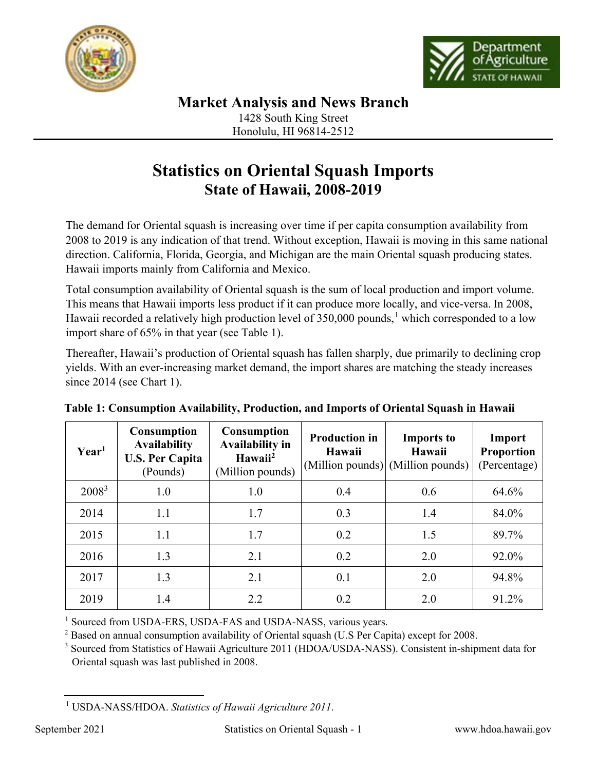



Honolulu, HI 96814-2512

## **Statistics on Oriental Squash Imports State of Hawaii, 2008-2019**

The demand for Oriental squash is increasing over time if per capita consumption availability from 2008 to 2019 is any indication of that trend. Without exception, Hawaii is moving in this same national direction. California, Florida, Georgia, and Michigan are the main Oriental squash producing states. Hawaii imports mainly from California and Mexico.

Total consumption availability of Oriental squash is the sum of local production and import volume. This means that Hawaii imports less product if it can produce more locally, and vice-versa. In 2008, Hawaii recorded a relatively high production level of 350,000 pounds,<sup>[1](#page-0-0)</sup> which corresponded to a low import share of 65% in that year (see Table 1).

Thereafter, Hawaii's production of Oriental squash has fallen sharply, due primarily to declining crop yields. With an ever-increasing market demand, the import shares are matching the steady increases since 2014 (see Chart 1).

| Year <sup>1</sup> | <b>Consumption</b><br><b>Availability</b><br><b>U.S. Per Capita</b><br>(Pounds) | <b>Consumption</b><br><b>Availability in</b><br>Hawaii <sup>2</sup><br>(Million pounds) | <b>Production in</b><br>Hawaii | <b>Imports to</b><br>Hawaii<br>(Million pounds) (Million pounds) | Import<br><b>Proportion</b><br>(Percentage) |
|-------------------|---------------------------------------------------------------------------------|-----------------------------------------------------------------------------------------|--------------------------------|------------------------------------------------------------------|---------------------------------------------|
| $2008^3$          | 1.0                                                                             | 1.0                                                                                     | 0.4                            | 0.6                                                              | 64.6%                                       |
| 2014              | 1.1                                                                             | 1.7                                                                                     | 0.3                            | 1.4                                                              | 84.0%                                       |
| 2015              | 1.1                                                                             | 1.7                                                                                     | 0.2                            | 1.5                                                              | 89.7%                                       |
| 2016              | 1.3                                                                             | 2.1                                                                                     | 0.2                            | 2.0                                                              | 92.0%                                       |
| 2017              | 1.3                                                                             | 2.1                                                                                     | 0.1                            | 2.0                                                              | 94.8%                                       |
| 2019              | 1.4                                                                             | 2.2                                                                                     | 0.2                            | 2.0                                                              | 91.2%                                       |

| Table 1: Consumption Availability, Production, and Imports of Oriental Squash in Hawaii |  |  |
|-----------------------------------------------------------------------------------------|--|--|
|                                                                                         |  |  |
|                                                                                         |  |  |

<sup>1</sup> Sourced from USDA-ERS, USDA-FAS and USDA-NASS, various years.<br>
<sup>2</sup> Based on annual consumption availability of Oriental squash (U.S Per Capita) except for 2008.<br>
<sup>3</sup> Sourced from Statistics of Hawaii Agriculture 2011

Oriental squash was last published in 2008.

<span id="page-0-0"></span><sup>1</sup> USDA-NASS/HDOA. *Statistics of Hawaii Agriculture 2011*.